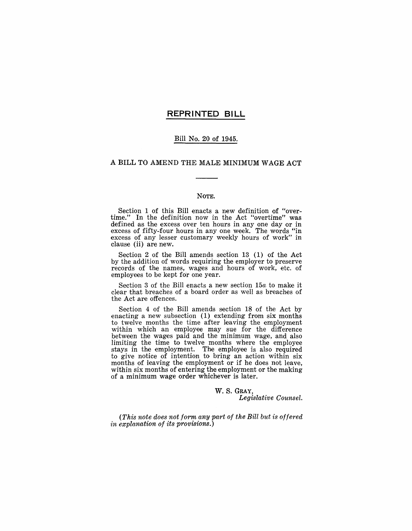#### **REPRINTED BILL**

#### Bill No. 20 of 1945.

#### A BILL TO AMEND THE MALE MINIMUM WAGE ACT

#### NOTE.

Section 1 of this Bill enacts a new definition of "overtime." In the definition now in the Act "overtime" was defined as the excess over ten hours in any one day or in excess of fifty-four hours in any one week. The words "in excess of any lesser customary weekly hours of work" in clause (ii) are new.

Section 2 of the Bill amends section  $13$  (1) of the Act by the addition of words requiring the employer to preserve records of the names, wages and hours of work, etc. of employees to be kept for one year.

Section 3 of the Bill enacts a new section *15a* to make it clear that breaches of a board order as well as breaches of the Act are offences.

Section 4 of the Bill amends section 18 of the Act by enacting a new subsection  $(1)$  extending from six months to twelve months the time after leaving the employment within which an employee may sue for the difference between the wages paid and the minimum wage, and also limiting the time to twelve months where the employee stays in the employment. The employee is also required to give notice of intention to bring an action within six months of leaving the employment or if he does not leave, within six months of entering the employment or the making of a minimum wage order whichever is later.

> W. S. GRAY, *Legislative Counsel.*

*(This note does not form any part of the Bill but is offered in explanation of its provisions.)*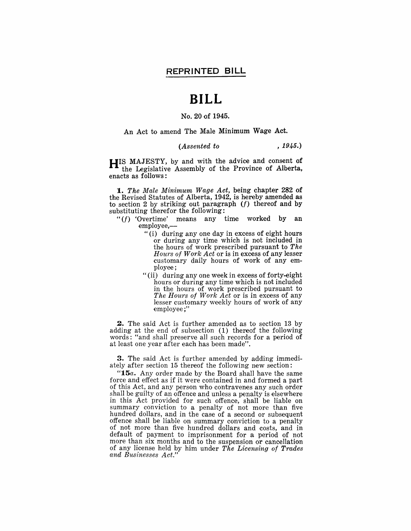## **BILL**

#### No. 20 of 1945.

An Act to amend The Male Minimum Wage Act.

#### *(Assented to* , 1945.)

HIS MAJESTY, by and with the advice and consent of the Legislative Assembly of the Province of Alberta, enacts as follows:

*1. The Male Minimum Wage Act,* being chapter 282 of the Revised Statutes of Alberta, 1942, is hereby amended as to section 2 by striking out paragraph *(f)* thereof and by substituting therefor the following:

- *"(f)* 'Overtime' means any time worked by an employee,-
	- "(i) during anyone day in excess of eight hours or during any time which is not included in the hours of work prescribed pursuant to *The Hours of Work Act* or is in excess of any lesser customary daily hours of work of any employee;
	- "(ii) during anyone week in excess of forty-eight hours or during any time which is not included in the hours of work prescribed pursuant to *The Hours of Work Act* or is in excess of any lesser customary weekly hours of work of any employee ;"

2. The said Act is further amended as to section 13 by adding at the end of subsection (1) thereof the following words: "and shall preserve all such records for a period of at least one year after each has been made".

**3.** The said Act is further amended by adding immediately after section 15 thereof the following new section:

*"15a.* Any order made by the Board shall have the same force and effect as if it were contained in and formed a part of this Act, and any person who contravenes any such order shall be guilty of an offence and unless a penalty is elsewhere in this Act provided for such offence, shall be liable on summary conviction to a penalty of not more than five hundred dollars, and in the case of a second or subsequent offence shall be liable on summary conviction to a penalty of not more than five hundred dollars and costs, and in default of payment to imprisonment for a period of not more than six months and to the suspension or cancellation of any license held by him under *The Licensing of Trades and Businesses Act."*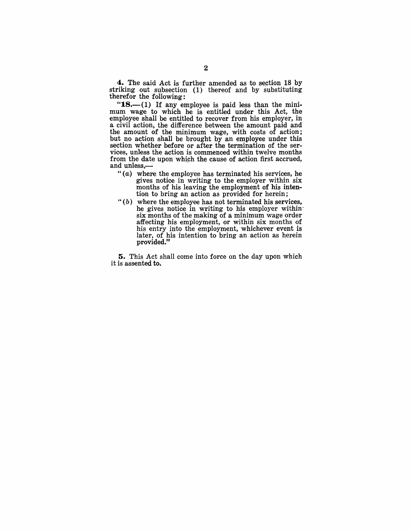4. The said Act is further amended as to section 18 by striking out subsection (1) thereof and by substituting therefor the following:

" $18$ .-(1) If any employee is paid less than the minimum wage to which he is entitled under this Act, the employee shall be entitled to recover from his employer, in a civil action, the difference between the amount paid and the amount of the minimum wage, with costs of action; but no action shall be brought by an employee under this section whether before or after the termination of the services, unless the action is commenced within twelve months from the date upon which the cause of action first accrued, and unless,-

- " $(a)$  where the employee has terminated his services, he gives notice in writing to the employer within six months of his leaving the employment of his intention to bring an action as provided for herein;
- $"(b)$  where the employee has not terminated his services, he gives notice in writing to his employer within six months of the making of a minimum wage order affecting his employment, or within six months of his entry into the employment, whichever event is later, of his intention to bring an action as herein provided."

5. This Act shall come into force on the day upon which it is assented to.